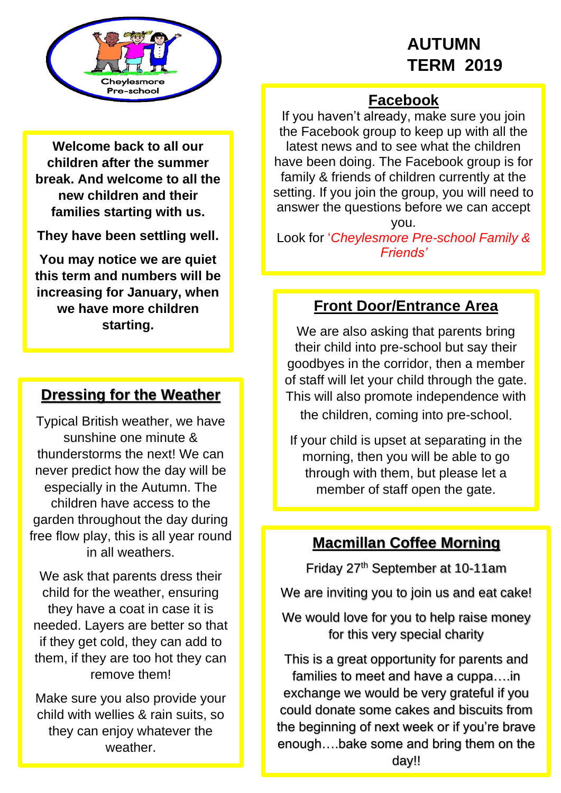# **AUTUMN TERM 2019**



## **Facebook**

If you haven't already, make sure you join the Facebook group to keep up with all the latest news and to see what the children have been doing. The Facebook group is for family & friends of children currently at the setting. If you join the group, you will need to answer the questions before we can accept

you.

Look for '*Cheylesmore Pre-school Family & Friends'*

### **Front Door/Entrance Area**

We are also asking that parents bring their child into pre-school but say their goodbyes in the corridor, then a member of staff will let your child through the gate. This will also promote independence with the children, coming into pre-school.

If your child is upset at separating in the morning, then you will be able to go through with them, but please let a member of staff open the gate.

# **Macmillan Coffee Morning**

Friday 27th September at 10-11am

We are inviting you to join us and eat cake!

We would love for you to help raise money for this very special charity

This is a great opportunity for parents and families to meet and have a cuppa….in exchange we would be very grateful if you could donate some cakes and biscuits from the beginning of next week or if you're brave enough….bake some and bring them on the day!!

**Welcome back to all our children after the summer break. And welcome to all the new children and their families starting with us.** 

**They have been settling well.**

**You may notice we are quiet this term and numbers will be increasing for January, when we have more children starting.**

# **Dressing for the Weather**

Typical British weather, we have sunshine one minute & thunderstorms the next! We can never predict how the day will be especially in the Autumn. The children have access to the garden throughout the day during free flow play, this is all year round in all weathers.

We ask that parents dress their child for the weather, ensuring they have a coat in case it is needed. Layers are better so that if they get cold, they can add to them, if they are too hot they can remove them!

Make sure you also provide your child with wellies & rain suits, so they can enjoy whatever the weather.